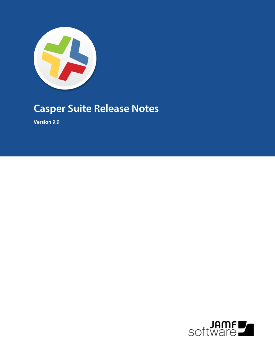

# **Casper Suite Release Notes**

**Version 9.9**

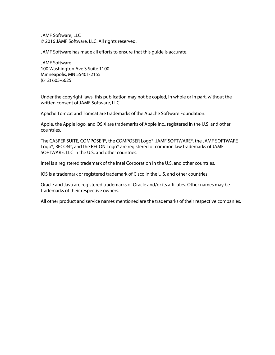JAMF Software, LLC © 2016 JAMF Software, LLC. All rights reserved.

JAMF Software has made all efforts to ensure that this guide is accurate.

JAMF Software 100 Washington Ave S Suite 1100 Minneapolis, MN 55401-2155 (612) 605-6625

Under the copyright laws, this publication may not be copied, in whole or in part, without the written consent of JAMF Software, LLC.

Apache Tomcat and Tomcat are trademarks of the Apache Software Foundation.

Apple, the Apple logo, and OS X are trademarks of Apple Inc., registered in the U.S. and other countries.

The CASPER SUITE, COMPOSER®, the COMPOSER Logo®, JAMF SOFTWARE®, the JAMF SOFTWARE Logo®, RECON®, and the RECON Logo® are registered or common law trademarks of JAMF SOFTWARE, LLC in the U.S. and other countries.

Intel is a registered trademark of the Intel Corporation in the U.S. and other countries.

IOS is a trademark or registered trademark of Cisco in the U.S. and other countries.

Oracle and Java are registered trademarks of Oracle and/or its affiliates. Other names may be trademarks of their respective owners.

All other product and service names mentioned are the trademarks of their respective companies.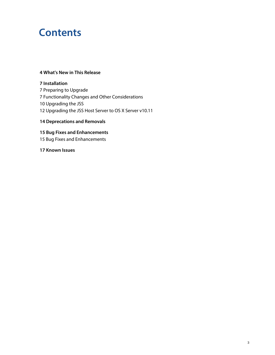# **Contents**

#### **[What's New in This Release](#page-3-0)**

 **[Installation](#page-6-0)** [Preparing to Upgrade](#page-6-1) [Functionality Changes and Other Considerations](#page-6-2) [Upgrading the JSS](#page-9-0) [Upgrading the JSS Host Server to OS X Server v10.11](#page-11-0)

## **[Deprecations and Removals](#page-13-0)**

## **[Bug Fixes and Enhancements](#page-14-0)**

[Bug Fixes and Enhancements](#page-14-1)

**[Known Issues](#page-16-0)**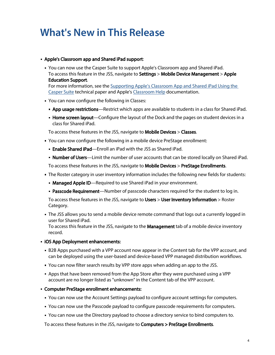# <span id="page-3-0"></span>**What's New in This Release**

#### Apple's Classroom app and Shared iPad support:

You can now use the Casper Suite to support Apple's Classroom app and Shared iPad. To access this feature in the JSS, navigate to Settings > Mobile Device Management > Apple Education Support.

For more information, see the Supporting Apple's Classroom App and Shared iPad Using the [Casper Suite](http://www.jamfsoftware.com/resources/supporting-apples-classroom-app-and-shared-ipad-using-the-casper-suite/) technical paper and Apple's [Classroom Help](https://help.apple.com/classroom/ipad/1.0/) documentation.

- You can now configure the following in Classes:
	- **App usage restrictions**—Restrict which apps are available to students in a class for Shared iPad.
	- **Home screen layout**—Configure the layout of the Dock and the pages on student devices in a class for Shared iPad.

To access these features in the JSS, navigate to Mobile Devices > Classes.

- You can now configure the following in a mobile device PreStage enrollment:
	- **Enable Shared iPad**—Enroll an iPad with the JSS as Shared iPad.
	- **Number of Users**—Limit the number of user accounts that can be stored locally on Shared iPad.

To access these features in the JSS, navigate to Mobile Devices > PreStage Enrollments.

- The Roster category in user inventory information includes the following new fields for students:
	- Managed Apple ID—Required to use Shared iPad in your environment.
	- **Passcode Requirement**—Number of passcode characters required for the student to log in.

To access these features in the JSS, navigate to Users > User Inventory Information > Roster Category.

The JSS allows you to send a mobile device remote command that logs out a currently logged in user for Shared iPad.

To access this feature in the JSS, navigate to the Management tab of a mobile device inventory record.

- **iOS App Deployment enhancements:** 
	- B2B Apps purchased with a VPP account now appear in the Content tab for the VPP account, and can be deployed using the user-based and device-based VPP managed distribution workflows.
	- You can now filter search results by VPP store apps when adding an app to the JSS.
	- Apps that have been removed from the App Store after they were purchased using a VPP account are no longer listed as "unknown" in the Content tab of the VPP account.
- Computer PreStage enrollment enhancements:
	- You can now use the Account Settings payload to configure account settings for computers.
	- You can now use the Passcode payload to configure passcode requirements for computers.
	- You can now use the Directory payload to choose a directory service to bind computers to.

To access these features in the JSS, navigate to Computers > PreStage Enrollments.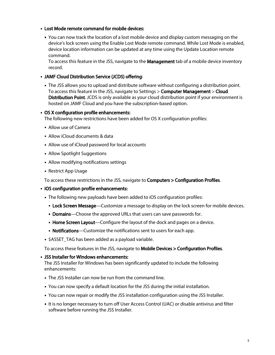#### Lost Mode remote command for mobile devices:

You can now track the location of a lost mobile device and display custom messaging on the device's lock screen using the Enable Lost Mode remote command. While Lost Mode is enabled, device location information can be updated at any time using the Update Location remote command.

To access this feature in the JSS, navigate to the **Management** tab of a mobile device inventory record.

#### JAMF Cloud Distribution Service (JCDS) offering:

The JSS allows you to upload and distribute software without configuring a distribution point. To access this feature in the JSS, navigate to Settings > Computer Management > Cloud Distribution Point. JCDS is only available as your cloud distribution point if your environment is hosted on JAMF Cloud and you have the subscription-based option.

#### OS X configuration profile enhancements:

The following new restrictions have been added for OS X configuration profiles:

- Allow use of Camera
- Allow iCloud documents & data
- Allow use of iCloud password for local accounts
- Allow Spotlight Suggestions
- Allow modifying notifications settings
- Restrict App Usage

To access these restrictions in the JSS, navigate to Computers > Configuration Profiles.

- **iOS configuration profile enhancements:** 
	- The following new payloads have been added to iOS configuration profiles:
		- **Lock Screen Message**—Customize a message to display on the lock screen for mobile devices.
		- **Domains**—Choose the approved URLs that users can save passwords for.
		- **Home Screen Layout**—Configure the layout of the dock and pages on a device.
		- Notifications—Customize the notifications sent to users for each app.
	- **5 SASSET TAG has been added as a payload variable.**

To access these features in the JSS, navigate to Mobile Devices > Configuration Profiles.

#### JSS Installer for Windows enhancements:

The JSS Installer for Windows has been significantly updated to include the following enhancements:

- The JSS Installer can now be run from the command line.
- You can now specify a default location for the JSS during the initial installation.
- You can now repair or modify the JSS installation configuration using the JSS Installer.
- It is no longer necessary to turn off User Access Control (UAC) or disable antivirus and filter software before running the JSS Installer.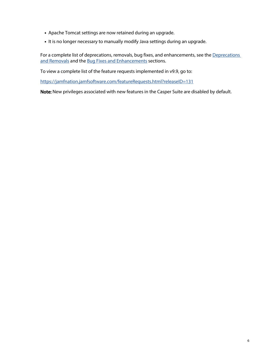- Apache Tomcat settings are now retained during an upgrade.
- It is no longer necessary to manually modify Java settings during an upgrade.

For a complete list of deprecations, removals, bug fixes, and enhancements, see the Deprecations [and Removals](#page-13-0) and the [Bug Fixes and Enhancements](#page-14-0) sections.

To view a complete list of the feature requests implemented in v9.9, go to:

<https://jamfnation.jamfsoftware.com/featureRequests.html?releaseID=131>

Note: New privileges associated with new features in the Casper Suite are disabled by default.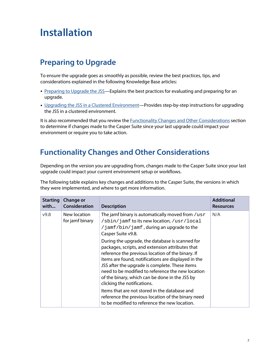# <span id="page-6-0"></span>**Installation**

# <span id="page-6-1"></span>**Preparing to Upgrade**

To ensure the upgrade goes as smoothly as possible, review the best practices, tips, and considerations explained in the following Knowledge Base articles:

- [Preparing to Upgrade the JSS](https://jamfnation.jamfsoftware.com/article.html?id=136)-Explains the best practices for evaluating and preparing for an upgrade.
- Diparading the JSS in a Clustered Environment—Provides step-by-step instructions for upgrading the JSS in a clustered environment.

<span id="page-6-3"></span>It is also recommended that you review the **Functionality Changes and Other Considerations** section to determine if changes made to the Casper Suite since your last upgrade could impact your environment or require you to take action.

# <span id="page-6-2"></span>**Functionality Changes and Other Considerations**

Depending on the version you are upgrading from, changes made to the Casper Suite since your last upgrade could impact your current environment setup or workflows.

The following table explains key changes and additions to the Casper Suite, the versions in which they were implemented, and where to get more information.

| <b>Starting</b><br>with | <b>Change or</b><br>Consideration | <b>Description</b>                                                                                                                                                                                                                                                                                                                                                                                      | <b>Additional</b><br><b>Resources</b> |
|-------------------------|-----------------------------------|---------------------------------------------------------------------------------------------------------------------------------------------------------------------------------------------------------------------------------------------------------------------------------------------------------------------------------------------------------------------------------------------------------|---------------------------------------|
| V9.8                    | New location<br>for jamf binary   | The jamf binary is automatically moved from $/usr$<br>/sbin/jamf to its new location, /usr/local<br>/jamf/bin/jamf, during an upgrade to the<br>Casper Suite v9.8.                                                                                                                                                                                                                                      | N/A                                   |
|                         |                                   | During the upgrade, the database is scanned for<br>packages, scripts, and extension attributes that<br>reference the previous location of the binary. If<br>items are found, notifications are displayed in the<br>JSS after the upgrade is complete. These items<br>need to be modified to reference the new location<br>of the binary, which can be done in the JSS by<br>clicking the notifications. |                                       |
|                         |                                   | Items that are not stored in the database and<br>reference the previous location of the binary need<br>to be modified to reference the new location.                                                                                                                                                                                                                                                    |                                       |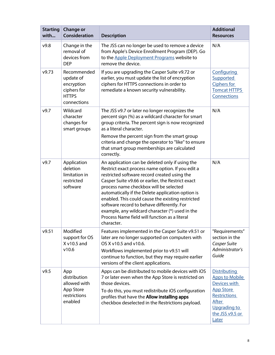| <b>Starting</b><br>with | <b>Change or</b><br>Consideration                                                    | <b>Description</b>                                                                                                                                                                                                                                                                                                                                                                                                                                                                                                            | <b>Additional</b><br><b>Resources</b>                                                                                                                               |
|-------------------------|--------------------------------------------------------------------------------------|-------------------------------------------------------------------------------------------------------------------------------------------------------------------------------------------------------------------------------------------------------------------------------------------------------------------------------------------------------------------------------------------------------------------------------------------------------------------------------------------------------------------------------|---------------------------------------------------------------------------------------------------------------------------------------------------------------------|
| v9.8                    | Change in the<br>removal of<br>devices from<br><b>DEP</b>                            | The JSS can no longer be used to remove a device<br>from Apple's Device Enrollment Program (DEP). Go<br>to the Apple Deployment Programs website to<br>remove the device.                                                                                                                                                                                                                                                                                                                                                     | N/A                                                                                                                                                                 |
| v9.73                   | Recommended<br>update of<br>encryption<br>ciphers for<br><b>HTTPS</b><br>connections | If you are upgrading the Casper Suite v9.72 or<br>earlier, you must update the list of encryption<br>ciphers for HTTPS connections in order to<br>remediate a known security vulnerability.                                                                                                                                                                                                                                                                                                                                   | Configuring<br>Supported<br>Ciphers for<br><b>Tomcat HTTPS</b><br>Connections                                                                                       |
| v9.7                    | Wildcard<br>character<br>changes for<br>smart groups                                 | The JSS v9.7 or later no longer recognizes the<br>percent sign (%) as a wildcard character for smart<br>group criteria. The percent sign is now recognized<br>as a literal character.<br>Remove the percent sign from the smart group<br>criteria and change the operator to "like" to ensure<br>that smart group memberships are calculated<br>correctly.                                                                                                                                                                    | N/A                                                                                                                                                                 |
| v9.7                    | Application<br>deletion<br>limitation in<br>restricted<br>software                   | An application can be deleted only if using the<br>Restrict exact process name option. If you edit a<br>restricted software record created using the<br>Casper Suite v9.66 or earlier, the Restrict exact<br>process name checkbox will be selected<br>automatically if the Delete application option is<br>enabled. This could cause the existing restricted<br>software record to behave differently. For<br>example, any wildcard character (*) used in the<br>Process Name field will function as a literal<br>character. | N/A                                                                                                                                                                 |
| v9.51                   | Modified<br>support for OS<br>X v10.5 and<br>v10.6                                   | Features implemented in the Casper Suite v9.51 or<br>later are no longer supported on computers with<br>OS X v10.5 and v10.6.<br>Workflows implemented prior to v9.51 will<br>continue to function, but they may require earlier<br>versions of the client applications.                                                                                                                                                                                                                                                      | "Requirements"<br>section in the<br>Casper Suite<br>Administrator's<br>Guide                                                                                        |
| v9.5                    | App<br>distribution<br>allowed with<br>App Store<br>restrictions<br>enabled          | Apps can be distributed to mobile devices with iOS<br>7 or later even when the App Store is restricted on<br>those devices.<br>To do this, you must redistribute iOS configuration<br>profiles that have the Allow installing apps<br>checkbox deselected in the Restrictions payload.                                                                                                                                                                                                                                        | <b>Distributing</b><br><b>Apps to Mobile</b><br>Devices with<br><b>App Store</b><br><b>Restrictions</b><br><b>After</b><br>Upgrading to<br>the JSS v9.5 or<br>Later |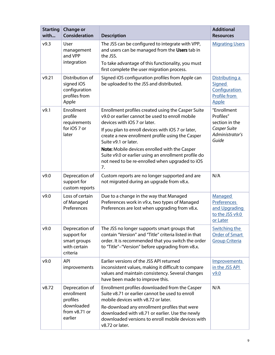| <b>Starting</b><br>with | <b>Change or</b><br>Consideration                                                  | <b>Description</b>                                                                                                                                                                                                                                                                                                                                                                                                                        | <b>Additional</b><br><b>Resources</b>                                                  |
|-------------------------|------------------------------------------------------------------------------------|-------------------------------------------------------------------------------------------------------------------------------------------------------------------------------------------------------------------------------------------------------------------------------------------------------------------------------------------------------------------------------------------------------------------------------------------|----------------------------------------------------------------------------------------|
| v9.3                    | User<br>management<br>and VPP<br>integration                                       | The JSS can be configured to integrate with VPP,<br>and users can be managed from the Users tab in<br>the JSS.<br>To take advantage of this functionality, you must<br>first complete the user migration process.                                                                                                                                                                                                                         | <b>Migrating Users</b>                                                                 |
| v9.21                   | Distribution of<br>signed iOS<br>configuration<br>profiles from<br>Apple           | Signed iOS configuration profiles from Apple can<br>be uploaded to the JSS and distributed.                                                                                                                                                                                                                                                                                                                                               | Distributing a<br>Signed<br>Configuration<br>Profile from<br><b>Apple</b>              |
| v9.1                    | Enrollment<br>profile<br>requirements<br>for iOS 7 or<br>later                     | Enrollment profiles created using the Casper Suite<br>v9.0 or earlier cannot be used to enroll mobile<br>devices with iOS 7 or later.<br>If you plan to enroll devices with iOS 7 or later,<br>create a new enrollment profile using the Casper<br>Suite v9.1 or later.<br>Note: Mobile devices enrolled with the Casper<br>Suite v9.0 or earlier using an enrollment profile do<br>not need to be re-enrolled when upgraded to iOS<br>7. | "Enrollment<br>Profiles"<br>section in the<br>Casper Suite<br>Administrator's<br>Guide |
| v9.0                    | Deprecation of<br>support for<br>custom reports                                    | Custom reports are no longer supported and are<br>not migrated during an upgrade from v8.x.                                                                                                                                                                                                                                                                                                                                               | N/A                                                                                    |
| v9.0                    | Loss of certain<br>of Managed<br>Preferences                                       | Due to a change in the way that Managed<br>Preferences work in v9.x, two types of Managed<br>Preferences are lost when upgrading from v8.x.                                                                                                                                                                                                                                                                                               | Managed<br><b>Preferences</b><br>and Upgrading<br>to the JSS v9.0<br>or Later          |
| v9.0                    | Deprecation of<br>support for<br>smart groups<br>with certain<br>criteria          | The JSS no longer supports smart groups that<br>contain "Version" and "Title" criteria listed in that<br>order. It is recommended that you switch the order<br>to "Title"-"Version" before upgrading from v8.x.                                                                                                                                                                                                                           | <b>Switching the</b><br><b>Order of Smart</b><br><b>Group Criteria</b>                 |
| v9.0                    | <b>API</b><br>improvements                                                         | Earlier versions of the JSS API returned<br>inconsistent values, making it difficult to compare<br>values and maintain consistency. Several changes<br>have been made to improve this.                                                                                                                                                                                                                                                    | <b>Improvements</b><br>in the JSS API<br>V9.0                                          |
| v8.72                   | Deprecation of<br>enrollment<br>profiles<br>downloaded<br>from v8.71 or<br>earlier | Enrollment profiles downloaded from the Casper<br>Suite v8.71 or earlier cannot be used to enroll<br>mobile devices with v8.72 or later.<br>Re-download any enrollment profiles that were<br>downloaded with v8.71 or earlier. Use the newly<br>downloaded versions to enroll mobile devices with<br>v8.72 or later.                                                                                                                      | N/A                                                                                    |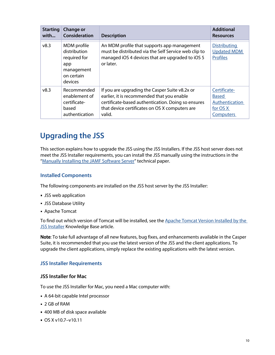| <b>Starting</b> | <b>Change or</b>                                                                          | <b>Description</b>                                                                                                                                                   | <b>Additional</b>                                            |
|-----------------|-------------------------------------------------------------------------------------------|----------------------------------------------------------------------------------------------------------------------------------------------------------------------|--------------------------------------------------------------|
| with            | Consideration                                                                             |                                                                                                                                                                      | <b>Resources</b>                                             |
| v8.3            | MDM profile<br>distribution<br>required for<br>app<br>management<br>on certain<br>devices | An MDM profile that supports app management<br>must be distributed via the Self Service web clip to<br>managed iOS 4 devices that are upgraded to iOS 5<br>or later. | <b>Distributing</b><br><b>Updated MDM</b><br><b>Profiles</b> |
| v8.3            | Recommended                                                                               | If you are upgrading the Casper Suite v8.2x or                                                                                                                       | Certificate-                                                 |
|                 | enablement of                                                                             | earlier, it is recommended that you enable                                                                                                                           | <b>Based</b>                                                 |
|                 | certificate-                                                                              | certificate-based authentication. Doing so ensures                                                                                                                   | Authentication                                               |
|                 | based                                                                                     | that device certificates on OS X computers are                                                                                                                       | for OS X                                                     |
|                 | authentication                                                                            | valid.                                                                                                                                                               | <b>Computers</b>                                             |

# <span id="page-9-1"></span><span id="page-9-0"></span>**Upgrading the JSS**

This section explains how to upgrade the JSS using the JSS Installers. If the JSS host server does not meet the JSS Installer requirements, you can install the JSS manually using the instructions in the "[Manually Installing the JAMF Software Server"](http://resources.jamfsoftware.com/documents/products/documentation/Manually-Installing-the-JAMF-Software-Server-v8.5-or-Later.pdf?mtime=1412016609) technical paper.

## **Installed Components**

The following components are installed on the JSS host server by the JSS Installer:

- JSS web application
- JSS Database Utility
- Apache Tomcat

To find out which version of Tomcat will be installed, see the Apache Tomcat Version Installed by the **[JSS Installer](https://jamfnation.jamfsoftware.com/article.html?id=380) Knowledge Base article.** 

Note: To take full advantage of all new features, bug fixes, and enhancements available in the Casper Suite, it is recommended that you use the latest version of the JSS and the client applications. To upgrade the client applications, simply replace the existing applications with the latest version.

## **JSS Installer Requirements**

#### **JSS Installer for Mac**

To use the JSS Installer for Mac, you need a Mac computer with:

- A 64-bit capable Intel processor
- 2 GB of RAM
- 400 MB of disk space available
- OS X v10.7–v10.11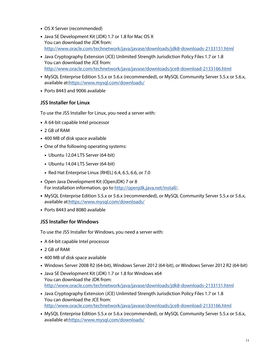- OS X Server (recommended)
- Java SE Development Kit (JDK) 1.7 or 1.8 for Mac OS X You can download the JDK from: <http://www.oracle.com/technetwork/java/javase/downloads/jdk8-downloads-2133151.html>
- **Java Cryptography Extension (JCE) Unlimited Strength Jurisdiction Policy Files 1.7 or 1.8** You can download the JCE from: <http://www.oracle.com/technetwork/java/javase/downloads/jce8-download-2133166.html>
- MySQL Enterprise Edition 5.5.x or 5.6.x (recommended), or MySQL Community Server 5.5.x or 5.6.x, available at[:https://www.mysql.com/downloads/](https://www.mysql.com/downloads/)
- Ports 8443 and 9006 available

### **JSS Installer for Linux**

To use the JSS Installer for Linux, you need a server with:

- A 64-bit capable Intel processor
- 2 GB of RAM
- 400 MB of disk space available
- One of the following operating systems:
	- Ubuntu 12.04 LTS Server (64-bit)
	- Ubuntu 14.04 LTS Server (64-bit)
	- Red Hat Enterprise Linux (RHEL) 6.4, 6.5, 6.6, or 7.0
- Open Java Development Kit (OpenJDK) 7 or 8 For installation information, go to <http://openjdk.java.net/install/>.
- MySQL Enterprise Edition 5.5.x or 5.6.x (recommended), or MySQL Community Server 5.5.x or 5.6.x, available at[:https://www.mysql.com/downloads/](https://www.mysql.com/downloads/)
- Ports 8443 and 8080 available

#### **JSS Installer for Windows**

To use the JSS Installer for Windows, you need a server with:

- A 64-bit capable Intel processor
- 2 GB of RAM
- 400 MB of disk space available
- Windows Server 2008 R2 (64-bit), Windows Server 2012 (64-bit), or Windows Server 2012 R2 (64-bit)
- Java SE Development Kit (JDK) 1.7 or 1.8 for Windows x64 You can download the JDK from: <http://www.oracle.com/technetwork/java/javase/downloads/jdk8-downloads-2133151.html>
- Java Cryptography Extension (JCE) Unlimited Strength Jurisdiction Policy Files 1.7 or 1.8 You can download the JCE from: <http://www.oracle.com/technetwork/java/javase/downloads/jce8-download-2133166.html>
- MySQL Enterprise Edition 5.5.x or 5.6.x (recommended), or MySQL Community Server 5.5.x or 5.6.x, available at[:https://www.mysql.com/downloads/](https://www.mysql.com/downloads/)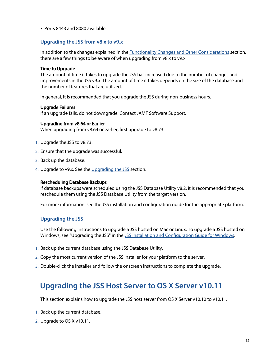Ports 8443 and 8080 available

### **Upgrading the JSS from v8.x to v9.x**

In addition to the changes explained in the [Functionality Changes and Other Considerations](#page-6-3) section, there are a few things to be aware of when upgrading from v8.x to v9.x.

#### Time to Upgrade

The amount of time it takes to upgrade the JSS has increased due to the number of changes and improvements in the JSS v9.x. The amount of time it takes depends on the size of the database and the number of features that are utilized.

In general, it is recommended that you upgrade the JSS during non-business hours.

#### Upgrade Failures

If an upgrade fails, do not downgrade. Contact JAMF Software Support.

#### Upgrading from v8.64 or Earlier

When upgrading from v8.64 or earlier, first upgrade to v8.73.

- 1. Upgrade the JSS to v8.73.
- 2. Ensure that the upgrade was successful.
- 3. Back up the database.
- 4. Upgrade to v9.x. See the <u>[Upgrading the JSS](#page-9-1)</u> section.

#### Rescheduling Database Backups

If database backups were scheduled using the JSS Database Utility v8.2, it is recommended that you reschedule them using the JSS Database Utility from the target version.

For more information, see the JSS installation and configuration guide for the appropriate platform.

## **Upgrading the JSS**

Use the following instructions to upgrade a JSS hosted on Mac or Linux. To upgrade a JSS hosted on Windows, see "Upgrading the JSS" in the [JSS Installation and Configuration Guide for Windows.](http://www.jamfsoftware.com/resources/jss-installation-guide-for-windows/)

- 1. Back up the current database using the JSS Database Utility.
- 2. Copy the most current version of the JSS Installer for your platform to the server.
- <span id="page-11-0"></span>3. Double-click the installer and follow the onscreen instructions to complete the upgrade.

## **Upgrading the JSS Host Server to OS X Server v10.11**

This section explains how to upgrade the JSS host server from OS X Server v10.10 to v10.11.

- 1. Back up the current database.
- 2. Upgrade to OS X v10.11.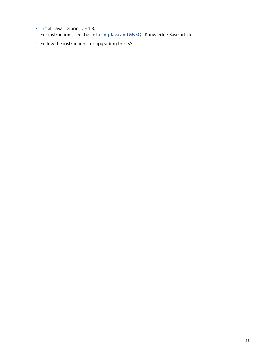- 3. Install Java 1.8 and JCE 1.8. For instructions, see the **Installing Java and MySQL** Knowledge Base article.
- 4. Follow the instructions for upgrading the JSS.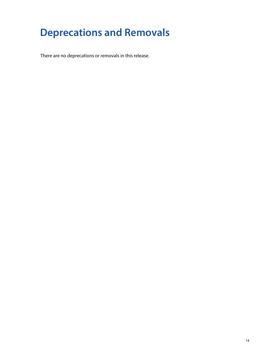# <span id="page-13-0"></span>**Deprecations and Removals**

There are no deprecations or removals in this release.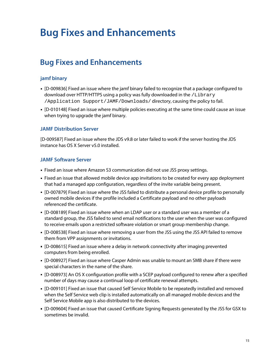# <span id="page-14-0"></span>**Bug Fixes and Enhancements**

# <span id="page-14-1"></span>**Bug Fixes and Enhancements**

## **jamf binary**

- [D-009836] Fixed an issue where the jamf binary failed to recognize that a package configured to download over HTTP/HTTPS using a policy was fully downloaded in the /Library /Application Support/JAMF/Downloads/ directory, causing the policy to fail.
- [D-010148] Fixed an issue where multiple policies executing at the same time could cause an issue when trying to upgrade the jamf binary.

## **JAMF Distribution Server**

[D-009587] Fixed an issue where the JDS v9.8 or later failed to work if the server hosting the JDS instance has OS X Server v5.0 installed.

## **JAMF Software Server**

- Fixed an issue where Amazon S3 communication did not use JSS proxy settings.
- Fixed an issue that allowed mobile device app invitations to be created for every app deployment that had a managed app configuration, regardless of the invite variable being present.
- [D-007879] Fixed an issue where the JSS failed to distribute a personal device profile to personally owned mobile devices if the profile included a Certificate payload and no other payloads referenced the certificate.
- [D-008189] Fixed an issue where when an LDAP user or a standard user was a member of a standard group, the JSS failed to send email notifications to the user when the user was configured to receive emails upon a restricted software violation or smart group membership change.
- [D-008538] Fixed an issue where removing a user from the JSS using the JSS API failed to remove them from VPP assignments or invitations.
- [D-008615] Fixed an issue where a delay in network connectivity after imaging prevented computers from being enrolled.
- [D-008927] Fixed an issue where Casper Admin was unable to mount an SMB share if there were special characters in the name of the share.
- [D-008973] An OS X configuration profile with a SCEP payload configured to renew after a specified number of days may cause a continual loop of certificate renewal attempts.
- [D-009101] Fixed an issue that caused Self Service Mobile to be repeatedly installed and removed when the Self Service web clip is installed automatically on all managed mobile devices and the Self Service Mobile app is also distributed to the devices.
- [D-009604] Fixed an issue that caused Certificate Signing Requests generated by the JSS for GSX to sometimes be invalid.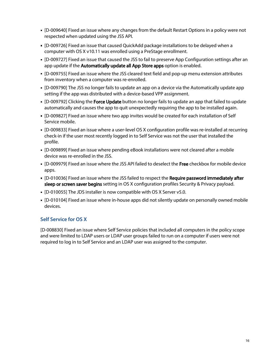- [D-009640] Fixed an issue where any changes from the default Restart Options in a policy were not respected when updated using the JSS API.
- [D-009726] Fixed an issue that caused QuickAdd package installations to be delayed when a computer with OS X v10.11 was enrolled using a PreStage enrollment.
- [D-009727] Fixed an issue that caused the JSS to fail to preserve App Configuration settings after an app update if the Automatically update all App Store apps option is enabled.
- [D-009755] Fixed an issue where the JSS cleared text field and pop-up menu extension attributes from inventory when a computer was re-enrolled.
- [D-009790] The JSS no longer fails to update an app on a device via the Automatically update app setting if the app was distributed with a device-based VPP assignment.
- **[D-009792] Clicking the Force Update** button no longer fails to update an app that failed to update automatically and causes the app to quit unexpectedly requiring the app to be installed again.
- [D-009827] Fixed an issue where two app invites would be created for each installation of Self Service mobile.
- [D-009833] Fixed an issue where a user-level OS X configuration profile was re-installed at recurring check-in if the user most recently logged in to Self Service was not the user that installed the profile.
- [D-009899] Fixed an issue where pending eBook installations were not cleared after a mobile device was re-enrolled in the JSS.
- [D-009979] Fixed an issue where the JSS API failed to deselect the Free checkbox for mobile device apps.
- **[D-010036] Fixed an issue where the JSS failed to respect the Require password immediately after** sleep or screen saver begins setting in OS X configuration profiles Security & Privacy payload.
- [D-010055] The JDS installer is now compatible with OS X Server v5.0.
- [D-010104] Fixed an issue where in-house apps did not silently update on personally owned mobile devices.

## **Self Service for OS X**

[D-008830] Fixed an issue where Self Service policies that included all computers in the policy scope and were limited to LDAP users or LDAP user groups failed to run on a computer if users were not required to log in to Self Service and an LDAP user was assigned to the computer.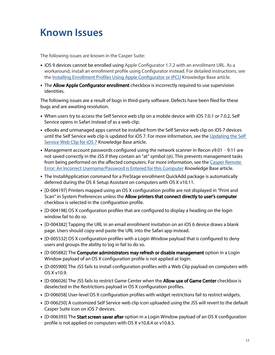# <span id="page-16-0"></span>**Known Issues**

The following issues are known in the Casper Suite:

- **IIOS 9 devices cannot be enrolled using Apple Configurator 1.7.2 with an enrollment URL. As a** workaround, install an enrollment profile using Configurator instead. For detailed instructions, see the [Installing Enrollment Profiles Using Apple Configurator or iPCU](https://jamfnation.jamfsoftware.com/article.html?id=211) Knowledge Base article.
- The Allow Apple Configurator enrollment checkbox is incorrectly required to use supervision identities.

The following issues are a result of bugs in third-party software. Defects have been filed for these bugs and are awaiting resolution.

- When users try to access the Self Service web clip on a mobile device with iOS 7.0.1 or 7.0.2, Self Service opens in Safari instead of as a web clip.
- eBooks and unmanaged apps cannot be installed from the Self Service web clip on iOS 7 devices until the Self Service web clip is updated for iOS 7. For more information, see the [Updating the Self](https://jamfnation.jamfsoftware.com/article.html?id=345)  [Service Web Clip for iOS 7](https://jamfnation.jamfsoftware.com/article.html?id=345) Knowledge Base article.
- Management account passwords configured using the network scanner in Recon v9.01 9.11 are not saved correctly in the JSS if they contain an "at" symbol (@). This prevents management tasks from being performed on the affected computers. For more information, see the Casper Remote [Error: An Incorrect Username/Password is Entered for this Computer](https://jamfnation.jamfsoftware.com/article.html?id=355) Knowledge Base article.
- The InstallApplication command for a PreStage enrollment QuickAdd package is automatically deferred during the OS X Setup Assistant on computers with OS X v10.11.
- [D-004197] Printers mapped using an OS X configuration profile are not displayed in "Print and Scan" in System Preferences unless the Allow printers that connect directly to user's computer checkbox is selected in the configuration profile.
- [D-004198] OS X configuration profiles that are configured to display a heading on the login window fail to do so.
- [D-004382] Tapping the URL in an email enrollment invitation on an iOS 6 device draws a blank page. Users should copy-and-paste the URL into the Safari app instead.
- [D-005532] OS X configuration profiles with a Login Window payload that is configured to deny users and groups the ability to log in fail to do so.
- **[D-005882] The Computer administrators may refresh or disable management** option in a Login Window payload of an OS X configuration profile is not applied at login.
- [D-005900] The JSS fails to install configuration profiles with a Web Clip payload on computers with OS X v10.9.
- [D-006026] The JSS fails to restrict Game Center when the Allow use of Game Center checkbox is deselected in the Restrictions payload in OS X configuration profiles.
- [D-006058] User-level OS X configuration profiles with widget restrictions fail to restrict widgets.
- [D-006250] A customized Self Service web clip icon uploaded using the JSS will revert to the default Casper Suite icon on iOS 7 devices.
- **[D-006393] The Start screen saver after** option in a Login Window payload of an OS X configuration profile is not applied on computers with OS X v10.8.4 or v10.8.5.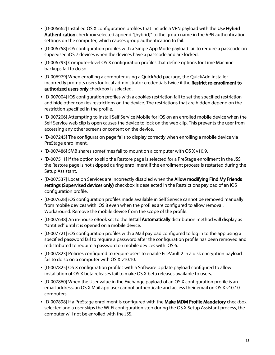- **[D-006662] Installed OS X configuration profiles that include a VPN payload with the Use Hybrid** Authentication checkbox selected append "[hybrid]" to the group name in the VPN authentication settings on the computer, which causes group authentication to fail.
- [D-006758] iOS configuration profiles with a Single App Mode payload fail to require a passcode on supervised iOS 7 devices when the devices have a passcode and are locked.
- [D-006793] Computer-level OS X configuration profiles that define options for Time Machine backups fail to do so.
- [D-006979] When enrolling a computer using a QuickAdd package, the QuickAdd installer incorrectly prompts users for local administrator credentials twice if the Restrict re-enrollment to authorized users only checkbox is selected.
- [D-007004] iOS configuration profiles with a cookies restriction fail to set the specified restriction and hide other cookies restrictions on the device. The restrictions that are hidden depend on the restriction specified in the profile.
- [D-007206] Attempting to install Self Service Mobile for iOS on an enrolled mobile device when the Self Service web clip is open causes the device to lock on the web clip. This prevents the user from accessing any other screens or content on the device.
- [D-007245] The configuration page fails to display correctly when enrolling a mobile device via PreStage enrollment.
- [D-007486] SMB shares sometimes fail to mount on a computer with OS X v10.9.
- [D-007511] If the option to skip the Restore page is selected for a PreStage enrollment in the JSS, the Restore page is not skipped during enrollment if the enrollment process is restarted during the Setup Assistant.
- **[D-007537] Location Services are incorrectly disabled when the Allow modifying Find My Friends** settings (Supervised devices only) checkbox is deselected in the Restrictions payload of an iOS configuration profile.
- [D-007628] iOS configuration profiles made available in Self Service cannot be removed manually from mobile devices with iOS 8 even when the profiles are configured to allow removal. Workaround: Remove the mobile device from the scope of the profile.
- **[D-007638] An in-house eBook set to the Install Automatically distribution method will display as** "Untitled" until it is opened on a mobile device.
- [D-007721] iOS configuration profiles with a Mail payload configured to log in to the app using a specified password fail to require a password after the configuration profile has been removed and redistributed to require a password on mobile devices with iOS 6.
- [D-007823] Policies configured to require users to enable FileVault 2 in a disk encryption payload fail to do so on a computer with OS X v10.10.
- [D-007825] OS X configuration profiles with a Software Update payload configured to allow installation of OS X beta releases fail to make OS X beta releases available to users.
- [D-007860] When the User value in the Exchange payload of an OS X configuration profile is an email address, an OS X Mail app user cannot authenticate and access their email on OS X v10.10 computers.
- **[D-007898] If a PreStage enrollment is configured with the Make MDM Profile Mandatory checkbox** selected and a user skips the Wi-Fi configuration step during the OS X Setup Assistant process, the computer will not be enrolled with the JSS.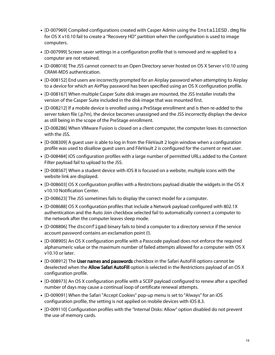- [D-007969] Compiled configurations created with Casper Admin using the InstallESD.dmg file for OS X v10.10 fail to create a "Recovery HD" partition when the configuration is used to image computers.
- [D-007999] Screen saver settings in a configuration profile that is removed and re-applied to a computer are not retained.
- [D-008018] The JSS cannot connect to an Open Directory server hosted on OS X Server v10.10 using CRAM-MD5 authentication.
- [D-008152] End users are incorrectly prompted for an Airplay password when attempting to Airplay to a device for which an AirPlay password has been specified using an OS X configuration profile.
- [D-008167] When multiple Casper Suite disk images are mounted, the JSS Installer installs the version of the Casper Suite included in the disk image that was mounted first.
- [D-008212] If a mobile device is enrolled using a PreStage enrollment and is then re-added to the server token file (.p7m), the device becomes unassigned and the JSS incorrectly displays the device as still being in the scope of the PreStage enrollment.
- [D-008286] When VMware Fusion is closed on a client computer, the computer loses its connection with the JSS.
- [D-008309] A guest user is able to log in from the FileVault 2 login window when a configuration profile was used to disallow guest users and FileVault 2 is configured for the current or next user.
- [D-008484] iOS configuration profiles with a large number of permitted URLs added to the Content Filter payload fail to upload to the JSS.
- [D-008567] When a student device with iOS 8 is focused on a website, multiple icons with the website link are displayed.
- [D-008603] OS X configuration profiles with a Restrictions payload disable the widgets in the OS X v10.10 Notification Center.
- [D-008623] The JSS sometimes fails to display the correct model for a computer.
- [D-008688] OS X configuration profiles that include a Network payload configured with 802.1X authentication and the Auto Join checkbox selected fail to automatically connect a computer to the network after the computer leaves sleep mode.
- [D-008806] The dsconfigad binary fails to bind a computer to a directory service if the service account password contains an exclamation point (!).
- [D-008905] An OS X configuration profile with a Passcode payload does not enforce the required alphanumeric value or the maximum number of failed attempts allowed for a computer with OS X v10.10 or later.
- **[D-008912] The User names and passwords** checkbox in the Safari AutoFill options cannot be deselected when the **Allow Safari AutoFill** option is selected in the Restrictions payload of an OS X configuration profile.
- [D-008973] An OS X configuration profile with a SCEP payload configured to renew after a specified number of days may cause a continual loop of certificate renewal attempts.
- [D-009091] When the Safari "Accept Cookies" pop-up menu is set to "Always" for an iOS configuration profile, the setting is not applied on mobile devices with iOS 8.3.
- [D-009110] Configuration profiles with the "Internal Disks: Allow" option disabled do not prevent the use of memory cards.